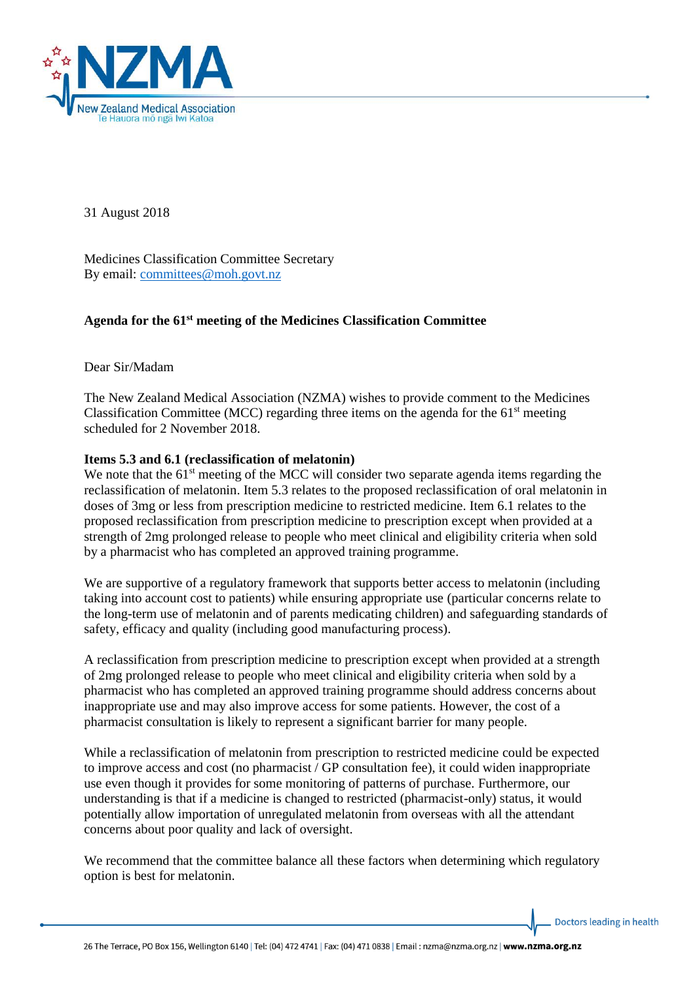

31 August 2018

Medicines Classification Committee Secretary By email: [committees@moh.govt.nz](mailto:committees@moh.govt.nz)

## **Agenda for the 61st meeting of the Medicines Classification Committee**

Dear Sir/Madam

The New Zealand Medical Association (NZMA) wishes to provide comment to the Medicines Classification Committee (MCC) regarding three items on the agenda for the  $61<sup>st</sup>$  meeting scheduled for 2 November 2018.

## **Items 5.3 and 6.1 (reclassification of melatonin)**

We note that the  $61<sup>st</sup>$  meeting of the MCC will consider two separate agenda items regarding the reclassification of melatonin. Item 5.3 relates to the proposed reclassification of oral melatonin in doses of 3mg or less from prescription medicine to restricted medicine. Item 6.1 relates to the proposed reclassification from prescription medicine to prescription except when provided at a strength of 2mg prolonged release to people who meet clinical and eligibility criteria when sold by a pharmacist who has completed an approved training programme.

We are supportive of a regulatory framework that supports better access to melatonin (including taking into account cost to patients) while ensuring appropriate use (particular concerns relate to the long-term use of melatonin and of parents medicating children) and safeguarding standards of safety, efficacy and quality (including good manufacturing process).

A reclassification from prescription medicine to prescription except when provided at a strength of 2mg prolonged release to people who meet clinical and eligibility criteria when sold by a pharmacist who has completed an approved training programme should address concerns about inappropriate use and may also improve access for some patients. However, the cost of a pharmacist consultation is likely to represent a significant barrier for many people.

While a reclassification of melatonin from prescription to restricted medicine could be expected to improve access and cost (no pharmacist / GP consultation fee), it could widen inappropriate use even though it provides for some monitoring of patterns of purchase. Furthermore, our understanding is that if a medicine is changed to restricted (pharmacist-only) status, it would potentially allow importation of unregulated melatonin from overseas with all the attendant concerns about poor quality and lack of oversight.

We recommend that the committee balance all these factors when determining which regulatory option is best for melatonin.

Doctors leading in health